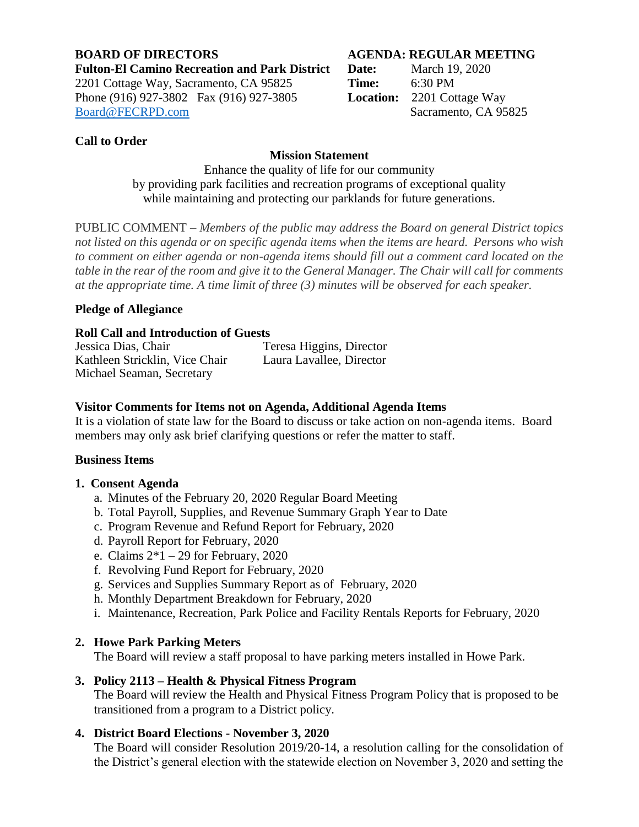#### **BOARD OF DIRECTORS AGENDA: REGULAR MEETING Fulton-El Camino Recreation and Park District Date:** March 19, 2020 2201 Cottage Way, Sacramento, CA 95825 **Time:** 6:30 PM Phone (916) 927-3802 Fax (916) 927-3805 **Location:** 2201 Cottage Way [Board@FECRPD.com](mailto:Board@FECRPD.com) Sacramento, CA 95825

# **Call to Order**

# **Mission Statement**

Enhance the quality of life for our community by providing park facilities and recreation programs of exceptional quality while maintaining and protecting our parklands for future generations.

PUBLIC COMMENT *– Members of the public may address the Board on general District topics not listed on this agenda or on specific agenda items when the items are heard. Persons who wish to comment on either agenda or non-agenda items should fill out a comment card located on the table in the rear of the room and give it to the General Manager. The Chair will call for comments at the appropriate time. A time limit of three (3) minutes will be observed for each speaker.*

## **Pledge of Allegiance**

## **Roll Call and Introduction of Guests**

Jessica Dias, Chair Teresa Higgins, Director Kathleen Stricklin, Vice Chair Laura Lavallee, Director Michael Seaman, Secretary

#### **Visitor Comments for Items not on Agenda, Additional Agenda Items**

It is a violation of state law for the Board to discuss or take action on non-agenda items. Board members may only ask brief clarifying questions or refer the matter to staff.

## **Business Items**

#### **1. Consent Agenda**

- a. Minutes of the February 20, 2020 Regular Board Meeting
- b. Total Payroll, Supplies, and Revenue Summary Graph Year to Date
- c. Program Revenue and Refund Report for February, 2020
- d. Payroll Report for February, 2020
- e. Claims  $2*1 29$  for February, 2020
- f. Revolving Fund Report for February, 2020
- g. Services and Supplies Summary Report as of February, 2020
- h. Monthly Department Breakdown for February, 2020
- i. Maintenance, Recreation, Park Police and Facility Rentals Reports for February, 2020

## **2. Howe Park Parking Meters**

The Board will review a staff proposal to have parking meters installed in Howe Park.

## **3. Policy 2113 – Health & Physical Fitness Program**

The Board will review the Health and Physical Fitness Program Policy that is proposed to be transitioned from a program to a District policy.

## **4. District Board Elections - November 3, 2020**

The Board will consider Resolution 2019/20-14, a resolution calling for the consolidation of the District's general election with the statewide election on November 3, 2020 and setting the